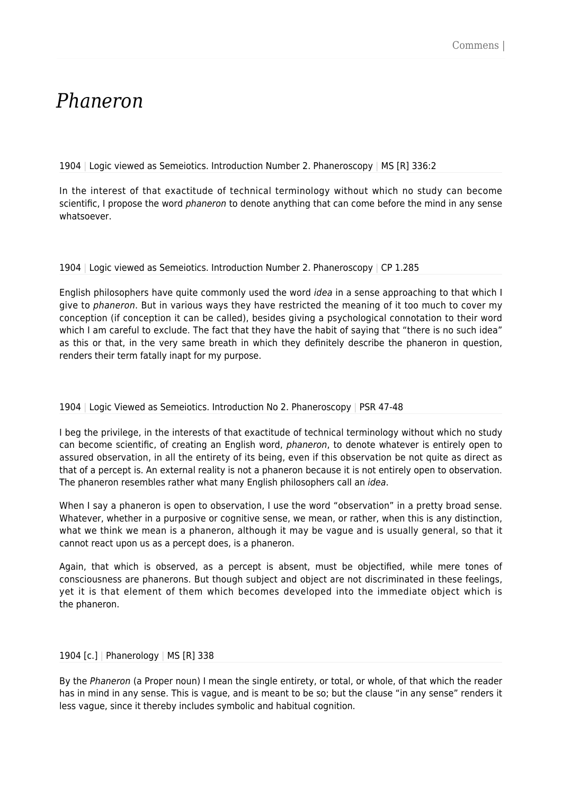# *Phaneron*

1904 | Logic viewed as Semeiotics. Introduction Number 2. Phaneroscopy | MS [R] 336:2

In the interest of that exactitude of technical terminology without which no study can become scientific. I propose the word *phaneron* to denote anything that can come before the mind in any sense whatsoever.

1904 | Logic viewed as Semeiotics. Introduction Number 2. Phaneroscopy | CP 1.285

English philosophers have quite commonly used the word idea in a sense approaching to that which I give to phaneron. But in various ways they have restricted the meaning of it too much to cover my conception (if conception it can be called), besides giving a psychological connotation to their word which I am careful to exclude. The fact that they have the habit of saying that "there is no such idea" as this or that, in the very same breath in which they definitely describe the phaneron in question, renders their term fatally inapt for my purpose.

1904 | Logic Viewed as Semeiotics. Introduction No 2. Phaneroscopy | PSR 47-48

I beg the privilege, in the interests of that exactitude of technical terminology without which no study can become scientific, of creating an English word, phaneron, to denote whatever is entirely open to assured observation, in all the entirety of its being, even if this observation be not quite as direct as that of a percept is. An external reality is not a phaneron because it is not entirely open to observation. The phaneron resembles rather what many English philosophers call an idea.

When I say a phaneron is open to observation, I use the word "observation" in a pretty broad sense. Whatever, whether in a purposive or cognitive sense, we mean, or rather, when this is any distinction, what we think we mean is a phaneron, although it may be vague and is usually general, so that it cannot react upon us as a percept does, is a phaneron.

Again, that which is observed, as a percept is absent, must be objectified, while mere tones of consciousness are phanerons. But though subject and object are not discriminated in these feelings, yet it is that element of them which becomes developed into the immediate object which is the phaneron.

### 1904 [c.] | Phanerology | MS [R] 338

By the Phaneron (a Proper noun) I mean the single entirety, or total, or whole, of that which the reader has in mind in any sense. This is vague, and is meant to be so; but the clause "in any sense" renders it less vague, since it thereby includes symbolic and habitual cognition.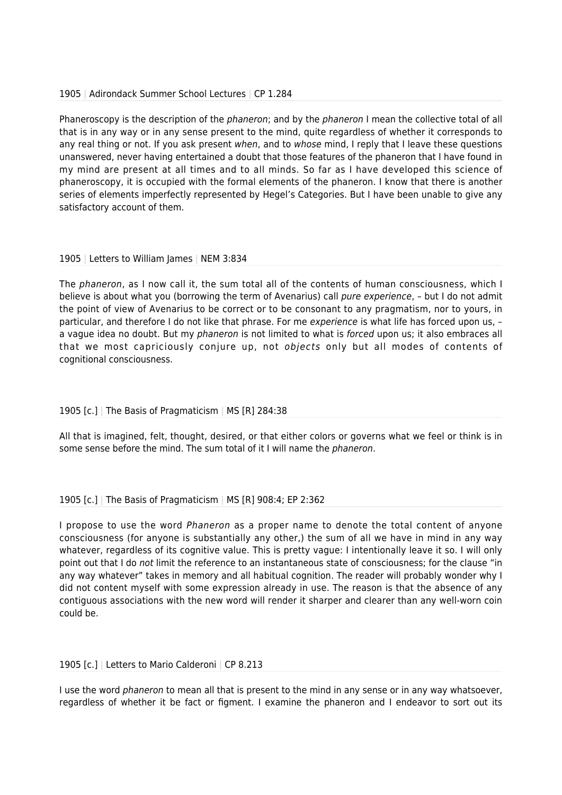### 1905 | Adirondack Summer School Lectures | CP 1.284

Phaneroscopy is the description of the *phaneron*; and by the *phaneron* I mean the collective total of all that is in any way or in any sense present to the mind, quite regardless of whether it corresponds to any real thing or not. If you ask present when, and to whose mind, I reply that I leave these questions unanswered, never having entertained a doubt that those features of the phaneron that I have found in my mind are present at all times and to all minds. So far as I have developed this science of phaneroscopy, it is occupied with the formal elements of the phaneron. I know that there is another series of elements imperfectly represented by Hegel's Categories. But I have been unable to give any satisfactory account of them.

### 1905 | Letters to William James | NEM 3:834

The phaneron, as I now call it, the sum total all of the contents of human consciousness, which I believe is about what you (borrowing the term of Avenarius) call pure experience, - but I do not admit the point of view of Avenarius to be correct or to be consonant to any pragmatism, nor to yours, in particular, and therefore I do not like that phrase. For me experience is what life has forced upon us, a vague idea no doubt. But my *phaneron* is not limited to what is forced upon us; it also embraces all that we most capriciously conjure up, not objects only but all modes of contents of cognitional consciousness.

## 1905 [c.] | The Basis of Pragmaticism | MS [R] 284:38

All that is imagined, felt, thought, desired, or that either colors or governs what we feel or think is in some sense before the mind. The sum total of it I will name the *phaneron*.

## 1905 [c.] | The Basis of Pragmaticism | MS [R] 908:4; EP 2:362

I propose to use the word Phaneron as a proper name to denote the total content of anyone consciousness (for anyone is substantially any other,) the sum of all we have in mind in any way whatever, regardless of its cognitive value. This is pretty vague: I intentionally leave it so. I will only point out that I do not limit the reference to an instantaneous state of consciousness; for the clause "in any way whatever" takes in memory and all habitual cognition. The reader will probably wonder why I did not content myself with some expression already in use. The reason is that the absence of any contiguous associations with the new word will render it sharper and clearer than any well-worn coin could be.

### 1905 [c.] | Letters to Mario Calderoni | CP 8.213

I use the word *phaneron* to mean all that is present to the mind in any sense or in any way whatsoever, regardless of whether it be fact or figment. I examine the phaneron and I endeavor to sort out its